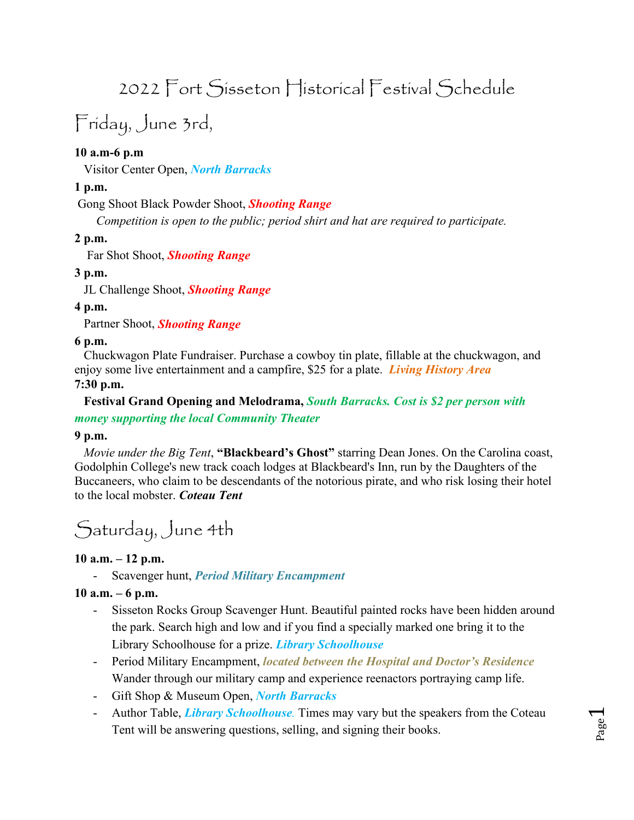# 2022 Fort Sisseton Historical Festival Schedule

# Friday, June 3rd,

# **10 a.m-6 p.m**

Visitor Center Open, *North Barracks*

#### **1 p.m.**

Gong Shoot Black Powder Shoot, *Shooting Range*

*Competition is open to the public; period shirt and hat are required to participate.*

#### **2 p.m.**

Far Shot Shoot, *Shooting Range*

#### **3 p.m.**

JL Challenge Shoot, *Shooting Range*

#### **4 p.m.**

Partner Shoot, *Shooting Range*

#### **6 p.m.**

 Chuckwagon Plate Fundraiser. Purchase a cowboy tin plate, fillable at the chuckwagon, and enjoy some live entertainment and a campfire, \$25 for a plate. *Living History Area* **7:30 p.m.**

#### **Festival Grand Opening and Melodrama,** *South Barracks. Cost is \$2 per person with money supporting the local Community Theater*

#### **9 p.m.**

*Movie under the Big Tent*, **"Blackbeard's Ghost"** starring Dean Jones. On the Carolina coast, Godolphin College's new track coach lodges at Blackbeard's Inn, run by the Daughters of the Buccaneers, who claim to be descendants of the notorious pirate, and who risk losing their hotel to the local mobster. *Coteau Tent*

Saturday, June 4th

#### **10 a.m. – 12 p.m.**

- Scavenger hunt, *Period Military Encampment*

#### **10 a.m. – 6 p.m.**

- Sisseton Rocks Group Scavenger Hunt. Beautiful painted rocks have been hidden around the park. Search high and low and if you find a specially marked one bring it to the Library Schoolhouse for a prize. *Library Schoolhouse*
- Period Military Encampment, *located between the Hospital and Doctor's Residence* Wander through our military camp and experience reenactors portraying camp life.
- Gift Shop & Museum Open, *North Barracks*
- Author Table, *Library Schoolhouse.* Times may vary but the speakers from the Coteau Tent will be answering questions, selling, and signing their books.

Page  $\overline{\phantom{0}}$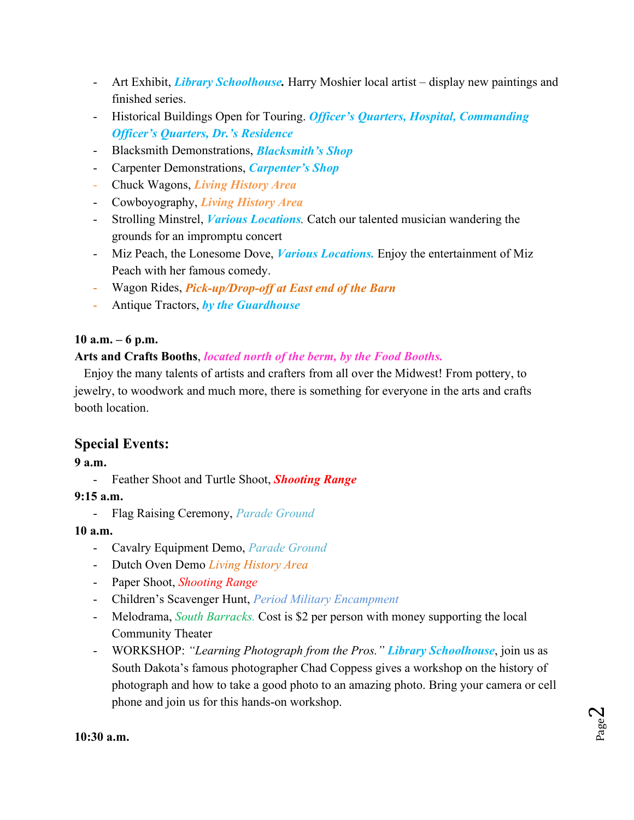- Art Exhibit, *Library Schoolhouse.* Harry Moshier local artist display new paintings and finished series.
- Historical Buildings Open for Touring. *Officer's Quarters, Hospital, Commanding Officer's Quarters, Dr.'s Residence*
- Blacksmith Demonstrations, *Blacksmith's Shop*
- Carpenter Demonstrations, *Carpenter's Shop*
- Chuck Wagons, *Living History Area*
- Cowboyography, *Living History Area*
- Strolling Minstrel, *Various Locations.* Catch our talented musician wandering the grounds for an impromptu concert
- Miz Peach, the Lonesome Dove, *Various Locations.* Enjoy the entertainment of Miz Peach with her famous comedy.
- Wagon Rides, *Pick-up/Drop-off at East end of the Barn*
- Antique Tractors, *by the Guardhouse*

# **10 a.m. – 6 p.m.**

### **Arts and Crafts Booths**, *located north of the berm, by the Food Booths.*

 Enjoy the many talents of artists and crafters from all over the Midwest! From pottery, to jewelry, to woodwork and much more, there is something for everyone in the arts and crafts booth location.

# **Special Events:**

### **9 a.m.**

- Feather Shoot and Turtle Shoot, *Shooting Range*

### **9:15 a.m.**

- Flag Raising Ceremony, *Parade Ground*

### **10 a.m.**

- Cavalry Equipment Demo, *Parade Ground*
- Dutch Oven Demo *Living History Area*
- Paper Shoot, *Shooting Range*
- Children's Scavenger Hunt, *Period Military Encampment*
- Melodrama, *South Barracks.* Cost is \$2 per person with money supporting the local Community Theater
- WORKSHOP: *"Learning Photograph from the Pros." Library Schoolhouse*, join us as South Dakota's famous photographer Chad Coppess gives a workshop on the history of photograph and how to take a good photo to an amazing photo. Bring your camera or cell phone and join us for this hands-on workshop.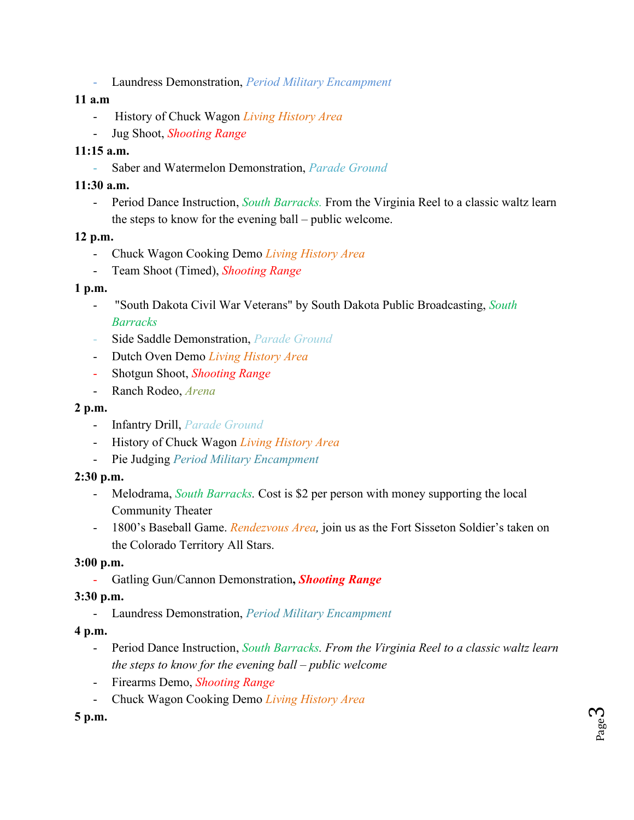- Laundress Demonstration, *Period Military Encampment*

#### **11 a.m**

- History of Chuck Wagon *Living History Area*
- Jug Shoot, *Shooting Range*

# **11:15 a.m.**

- Saber and Watermelon Demonstration, *Parade Ground*

### **11:30 a.m.**

- Period Dance Instruction, *South Barracks.* From the Virginia Reel to a classic waltz learn the steps to know for the evening ball – public welcome.

### **12 p.m.**

- Chuck Wagon Cooking Demo *Living History Area*
- Team Shoot (Timed), *Shooting Range*

### **1 p.m.**

- "South Dakota Civil War Veterans" by South Dakota Public Broadcasting, *South Barracks*
- Side Saddle Demonstration, *Parade Ground*
- Dutch Oven Demo *Living History Area*
- Shotgun Shoot, *Shooting Range*
- Ranch Rodeo, *Arena*

# **2 p.m.**

- Infantry Drill, *Parade Ground*
- History of Chuck Wagon *Living History Area*
- Pie Judging *Period Military Encampment*

### **2:30 p.m.**

- Melodrama, *South Barracks.* Cost is \$2 per person with money supporting the local Community Theater
- 1800's Baseball Game. *Rendezvous Area,* join us as the Fort Sisseton Soldier's taken on the Colorado Territory All Stars.

### **3:00 p.m.**

- Gatling Gun/Cannon Demonstration**,** *Shooting Range*

### **3:30 p.m.**

- Laundress Demonstration, *Period Military Encampment*

### **4 p.m.**

- Period Dance Instruction, *South Barracks. From the Virginia Reel to a classic waltz learn the steps to know for the evening ball – public welcome*
- Firearms Demo, *Shooting Range*
- Chuck Wagon Cooking Demo *Living History Area*

# **5 p.m.**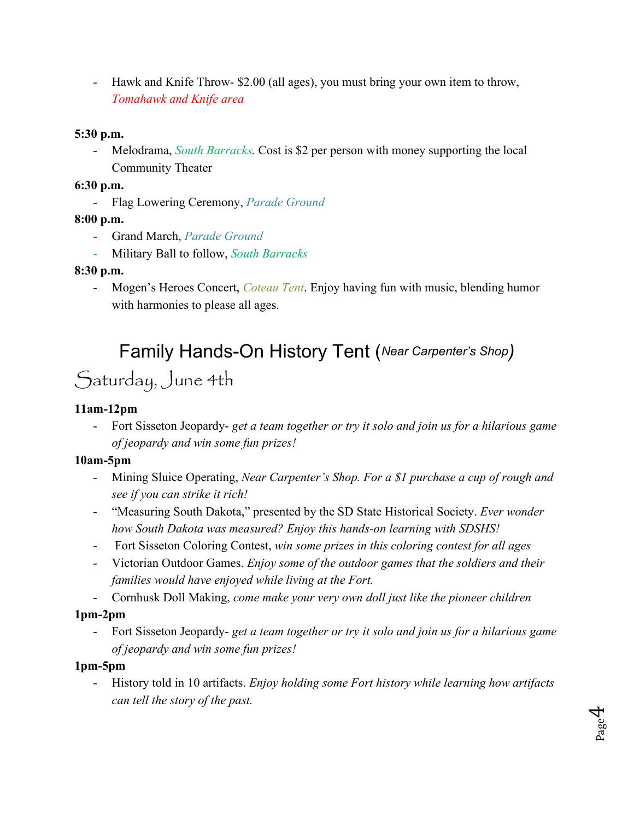- Hawk and Knife Throw- \$2.00 (all ages), you must bring your own item to throw, *Tomahawk and Knife area*

### **5:30 p.m.**

- Melodrama, *South Barracks.* Cost is \$2 per person with money supporting the local Community Theater

# **6:30 p.m.**

- Flag Lowering Ceremony, *Parade Ground*

# **8:00 p.m.**

- Grand March, *Parade Ground*
- Military Ball to follow, *South Barracks*

# **8:30 p.m.**

Mogen's Heroes Concert, *Coteau Tent*. Enjoy having fun with music, blending humor with harmonies to please all ages.

# Family Hands-On History Tent (*Near Carpenter's Shop)* Saturday, June 4th

# **11am-12pm**

- Fort Sisseton Jeopardy- *get a team together or try it solo and join us for a hilarious game of jeopardy and win some fun prizes!*

# **10am-5pm**

- Mining Sluice Operating, *Near Carpenter's Shop. For a \$1 purchase a cup of rough and see if you can strike it rich!*
- "Measuring South Dakota," presented by the SD State Historical Society. *Ever wonder how South Dakota was measured? Enjoy this hands-on learning with SDSHS!*
- Fort Sisseton Coloring Contest, *win some prizes in this coloring contest for all ages*
- Victorian Outdoor Games. *Enjoy some of the outdoor games that the soldiers and their families would have enjoyed while living at the Fort.*
- Cornhusk Doll Making, *come make your very own doll just like the pioneer children*

# **1pm-2pm**

- Fort Sisseton Jeopardy- *get a team together or try it solo and join us for a hilarious game of jeopardy and win some fun prizes!*

# **1pm-5pm**

- History told in 10 artifacts. *Enjoy holding some Fort history while learning how artifacts can tell the story of the past.*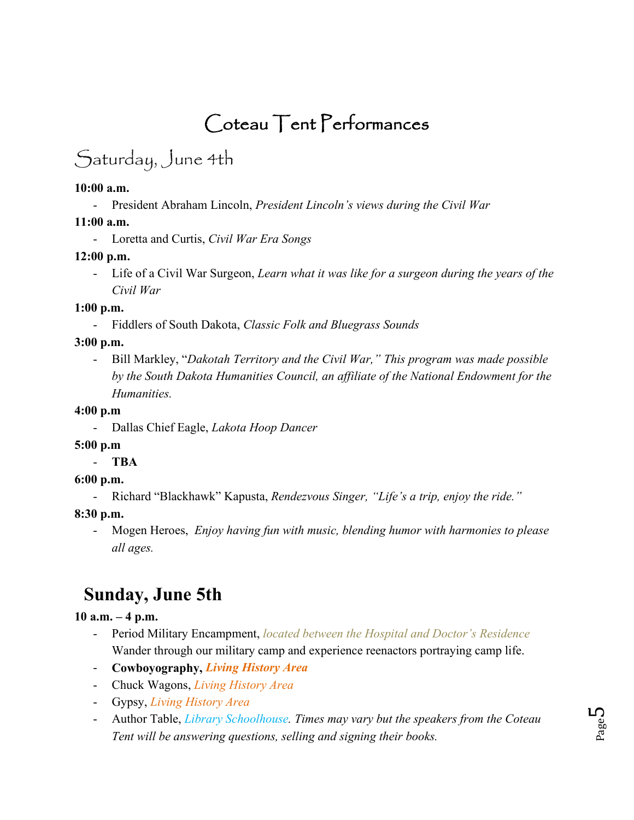# Coteau Tent Performances

# Saturday, June 4th

#### **10:00 a.m.**

- President Abraham Lincoln, *President Lincoln's views during the Civil War*

### **11:00 a.m.**

- Loretta and Curtis, *Civil War Era Songs*

### **12:00 p.m.**

- Life of a Civil War Surgeon, *Learn what it was like for a surgeon during the years of the Civil War*

### **1:00 p.m.**

- Fiddlers of South Dakota, *Classic Folk and Bluegrass Sounds*

# **3:00 p.m.**

- Bill Markley, "*Dakotah Territory and the Civil War," This program was made possible by the South Dakota Humanities Council, an affiliate of the National Endowment for the Humanities.*

### **4:00 p.m**

- Dallas Chief Eagle, *Lakota Hoop Dancer*

### **5:00 p.m**

### - **TBA**

### **6:00 p.m.**

- Richard "Blackhawk" Kapusta, *Rendezvous Singer, "Life's a trip, enjoy the ride."*

### **8:30 p.m.**

- Mogen Heroes, *Enjoy having fun with music, blending humor with harmonies to please all ages.*

# **Sunday, June 5th**

# **10 a.m. – 4 p.m.**

- Period Military Encampment, *located between the Hospital and Doctor's Residence* Wander through our military camp and experience reenactors portraying camp life.
- **Cowboyography,** *Living History Area*
- Chuck Wagons, *Living History Area*
- Gypsy, *Living History Area*
- Author Table, *Library Schoolhouse. Times may vary but the speakers from the Coteau Tent will be answering questions, selling and signing their books.*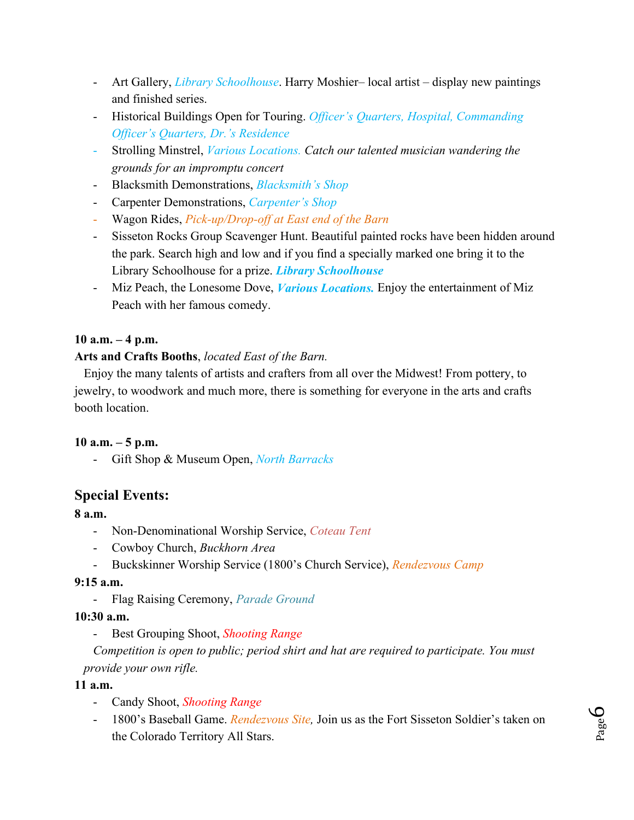- Art Gallery, *Library Schoolhouse*. Harry Moshier– local artist display new paintings and finished series.
- Historical Buildings Open for Touring. *Officer's Quarters, Hospital, Commanding Officer's Quarters, Dr.'s Residence*
- Strolling Minstrel, *Various Locations. Catch our talented musician wandering the grounds for an impromptu concert*
- Blacksmith Demonstrations, *Blacksmith's Shop*
- Carpenter Demonstrations, *Carpenter's Shop*
- Wagon Rides, *Pick-up/Drop-off at East end of the Barn*
- Sisseton Rocks Group Scavenger Hunt. Beautiful painted rocks have been hidden around the park. Search high and low and if you find a specially marked one bring it to the Library Schoolhouse for a prize. *Library Schoolhouse*
- Miz Peach, the Lonesome Dove, *Various Locations.* Enjoy the entertainment of Miz Peach with her famous comedy.

### **10 a.m. – 4 p.m.**

#### **Arts and Crafts Booths**, *located East of the Barn.*

 Enjoy the many talents of artists and crafters from all over the Midwest! From pottery, to jewelry, to woodwork and much more, there is something for everyone in the arts and crafts booth location.

#### **10 a.m. – 5 p.m.**

- Gift Shop & Museum Open, *North Barracks*

### **Special Events:**

#### **8 a.m.**

- Non-Denominational Worship Service, *Coteau Tent*
- Cowboy Church, *Buckhorn Area*
- Buckskinner Worship Service (1800's Church Service), *Rendezvous Camp*

#### **9:15 a.m.**

- Flag Raising Ceremony, *Parade Ground* 

#### **10:30 a.m.**

- Best Grouping Shoot, *Shooting Range*

 *Competition is open to public; period shirt and hat are required to participate. You must provide your own rifle.* 

#### **11 a.m.**

- Candy Shoot, *Shooting Range*
- 1800's Baseball Game. *Rendezvous Site,* Join us as the Fort Sisseton Soldier's taken on the Colorado Territory All Stars.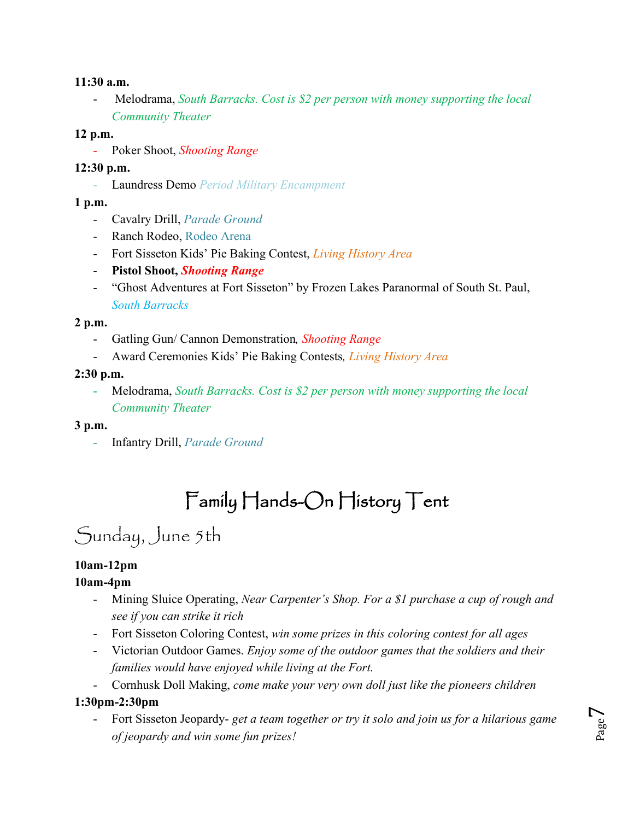#### **11:30 a.m.**

- Melodrama, *South Barracks. Cost is \$2 per person with money supporting the local Community Theater*

#### **12 p.m.**

- Poker Shoot, *Shooting Range*

### **12:30 p.m.**

- Laundress Demo *Period Military Encampment*

### **1 p.m.**

- Cavalry Drill, *Parade Ground*
- Ranch Rodeo, Rodeo Arena
- Fort Sisseton Kids' Pie Baking Contest, *Living History Area*
- **Pistol Shoot,** *Shooting Range*
- "Ghost Adventures at Fort Sisseton" by Frozen Lakes Paranormal of South St. Paul, *South Barracks*

#### **2 p.m.**

- Gatling Gun/ Cannon Demonstration*, Shooting Range*
- Award Ceremonies Kids' Pie Baking Contests*, Living History Area*

### **2:30 p.m.**

- Melodrama, *South Barracks. Cost is \$2 per person with money supporting the local Community Theater*

### **3 p.m.**

- Infantry Drill, *Parade Ground* 

# Family Hands-On History Tent

# Sunday, June 5th

# **10am-12pm**

### **10am-4pm**

- Mining Sluice Operating, *Near Carpenter's Shop. For a \$1 purchase a cup of rough and see if you can strike it rich*
- Fort Sisseton Coloring Contest, *win some prizes in this coloring contest for all ages*
- Victorian Outdoor Games. *Enjoy some of the outdoor games that the soldiers and their families would have enjoyed while living at the Fort.*
- Cornhusk Doll Making, *come make your very own doll just like the pioneers children*

### **1:30pm-2:30pm**

- Fort Sisseton Jeopardy- *get a team together or try it solo and join us for a hilarious game of jeopardy and win some fun prizes!*